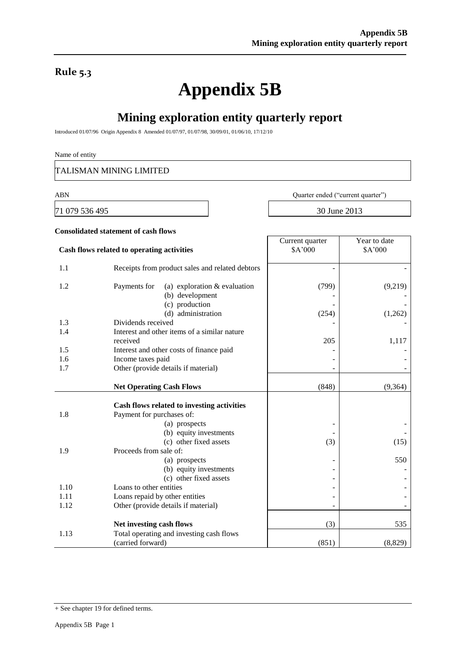### **Rule 5.3**

# **Appendix 5B**

## **Mining exploration entity quarterly report**

Introduced 01/07/96 Origin Appendix 8 Amended 01/07/97, 01/07/98, 30/09/01, 01/06/10, 17/12/10

#### Name of entity

TALISMAN MINING LIMITED

**Consolidated statement of cash flows**

71 079 536 495 30 June 2013

ABN Quarter ended ("current quarter")

Year to date \$A'000

Current quarter \$A'000

# **Cash flows related to operating activities**

| 1.1  | Receipts from product sales and related debtors                   |       |         |
|------|-------------------------------------------------------------------|-------|---------|
| 1.2  | (a) exploration $&$ evaluation<br>Payments for<br>(b) development | (799) | (9,219) |
|      | (c) production                                                    |       |         |
|      | (d) administration                                                | (254) | (1,262) |
| 1.3  | Dividends received                                                |       |         |
| 1.4  | Interest and other items of a similar nature<br>received          | 205   | 1,117   |
| 1.5  | Interest and other costs of finance paid                          |       |         |
| 1.6  | Income taxes paid                                                 |       |         |
| 1.7  | Other (provide details if material)                               |       |         |
|      |                                                                   |       |         |
|      | <b>Net Operating Cash Flows</b>                                   | (848) | (9,364) |
|      | Cash flows related to investing activities                        |       |         |
| 1.8  | Payment for purchases of:                                         |       |         |
|      | (a) prospects                                                     |       |         |
|      | (b) equity investments                                            |       |         |
|      | (c) other fixed assets                                            | (3)   | (15)    |
| 1.9  | Proceeds from sale of:                                            |       |         |
|      | (a) prospects                                                     |       | 550     |
|      | (b) equity investments                                            |       |         |
|      | (c) other fixed assets                                            |       |         |
| 1.10 | Loans to other entities                                           |       |         |
| 1.11 | Loans repaid by other entities                                    |       |         |
| 1.12 | Other (provide details if material)                               |       |         |
|      |                                                                   |       |         |
|      | Net investing cash flows                                          | (3)   | 535     |
| 1.13 | Total operating and investing cash flows                          |       |         |
|      | (carried forward)                                                 | (851) | (8,829) |

<sup>+</sup> See chapter 19 for defined terms.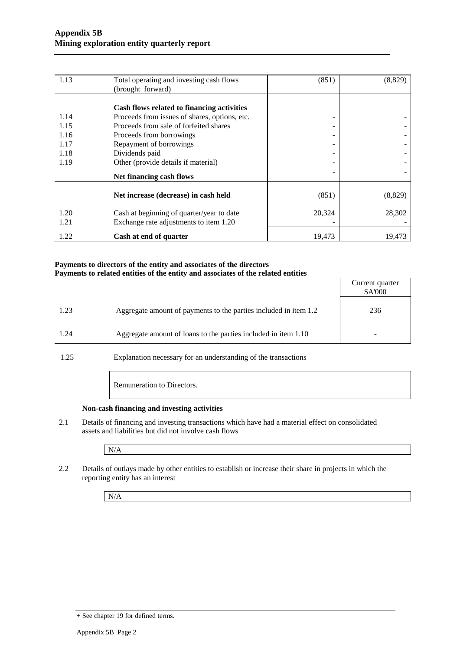| 1.13 | Total operating and investing cash flows      | (851)  | (8, 829) |
|------|-----------------------------------------------|--------|----------|
|      | (brought forward)                             |        |          |
|      |                                               |        |          |
|      | Cash flows related to financing activities    |        |          |
| 1.14 | Proceeds from issues of shares, options, etc. | -      |          |
| 1.15 | Proceeds from sale of forfeited shares        | -      |          |
| 1.16 | Proceeds from borrowings                      | -      |          |
| 1.17 | Repayment of borrowings                       | -      |          |
| 1.18 | Dividends paid                                |        |          |
| 1.19 | Other (provide details if material)           |        |          |
|      | Net financing cash flows                      |        |          |
|      |                                               |        |          |
|      | Net increase (decrease) in cash held          | (851)  | (8, 829) |
| 1.20 | Cash at beginning of quarter/year to date     | 20,324 | 28,302   |
| 1.21 | Exchange rate adjustments to item 1.20        |        |          |
|      |                                               |        |          |
| 1.22 | Cash at end of quarter                        | 19,473 | 19,473   |

#### **Payments to directors of the entity and associates of the directors Payments to related entities of the entity and associates of the related entities**

|                      |                                                                   | Current quarter<br>\$A'000 |
|----------------------|-------------------------------------------------------------------|----------------------------|
| 1.23                 | Aggregate amount of payments to the parties included in item 1.2  | 236                        |
| 1.24                 | Aggregate amount of loans to the parties included in item 1.10    |                            |
| $\sim$ $\sim$ $\sim$ | $\sim$<br>$\sim$ $\sim$ $\sim$ $\sim$ $\sim$ $\sim$ $\sim$ $\sim$ |                            |

1.25 Explanation necessary for an understanding of the transactions

Remuneration to Directors.

#### **Non-cash financing and investing activities**

2.1 Details of financing and investing transactions which have had a material effect on consolidated assets and liabilities but did not involve cash flows

N/A

2.2 Details of outlays made by other entities to establish or increase their share in projects in which the reporting entity has an interest

N/A

<sup>+</sup> See chapter 19 for defined terms.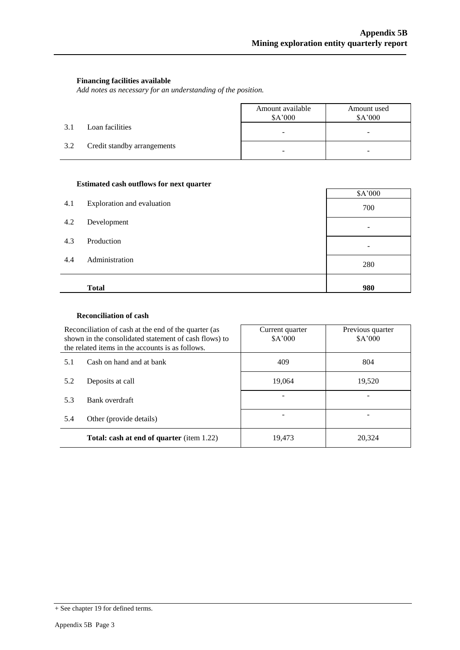#### **Financing facilities available**

*Add notes as necessary for an understanding of the position.*

|     |                             | Amount available<br>\$A'000 | Amount used<br>\$A'000 |
|-----|-----------------------------|-----------------------------|------------------------|
| 3.1 | Loan facilities             | -                           | -                      |
| 3.2 | Credit standby arrangements | -                           |                        |

#### **Estimated cash outflows for next quarter**

| 4.1 | Exploration and evaluation | \$A'000 |
|-----|----------------------------|---------|
| 4.2 | Development                | 700     |
|     |                            |         |
| 4.3 | Production                 |         |
| 4.4 | Administration             | 280     |
|     | <b>Total</b>               | 980     |

#### **Reconciliation of cash**

| Reconciliation of cash at the end of the quarter (as<br>shown in the consolidated statement of cash flows) to<br>the related items in the accounts is as follows. |                          | Current quarter<br>\$A'000 | Previous quarter<br>\$A'000 |  |
|-------------------------------------------------------------------------------------------------------------------------------------------------------------------|--------------------------|----------------------------|-----------------------------|--|
| 5.1                                                                                                                                                               | Cash on hand and at bank | 409                        | 804                         |  |
| 5.2<br>Deposits at call                                                                                                                                           |                          | 19.064                     | 19,520                      |  |
| 5.3                                                                                                                                                               | Bank overdraft           |                            |                             |  |
| Other (provide details)<br>5.4                                                                                                                                    |                          |                            |                             |  |
| <b>Total: cash at end of quarter (item 1.22)</b>                                                                                                                  |                          | 19,473                     | 20,324                      |  |

<sup>+</sup> See chapter 19 for defined terms.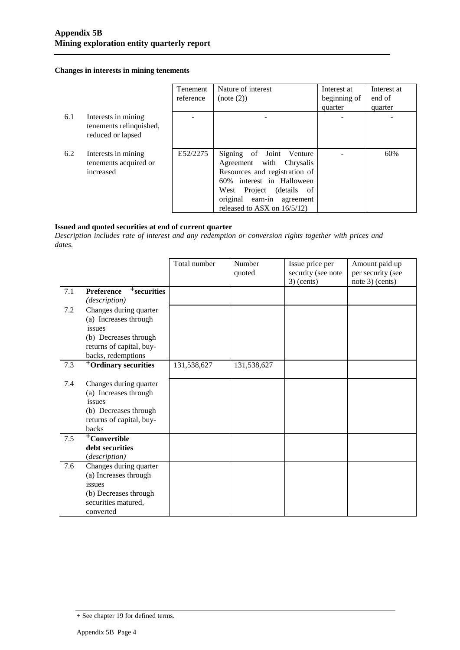#### **Changes in interests in mining tenements**

|     |                                                                     | <b>Tenement</b><br>reference | Nature of interest<br>(note (2))                                                                                                                                                                               | Interest at<br>beginning of<br>quarter | Interest at<br>end of<br>quarter |
|-----|---------------------------------------------------------------------|------------------------------|----------------------------------------------------------------------------------------------------------------------------------------------------------------------------------------------------------------|----------------------------------------|----------------------------------|
| 6.1 | Interests in mining<br>tenements relinquished,<br>reduced or lapsed |                              |                                                                                                                                                                                                                |                                        |                                  |
| 6.2 | Interests in mining<br>tenements acquired or<br>increased           | E52/2275                     | Signing of Joint Venture<br>Agreement with Chrysalis<br>Resources and registration of<br>60% interest in Halloween<br>West Project (details of<br>original earn-in agreement<br>released to ASX on $16/5/12$ ) |                                        | 60%                              |

#### **Issued and quoted securities at end of current quarter**

*Description includes rate of interest and any redemption or conversion rights together with prices and dates.*

|                                     | Total number                                                                                                                                                                                                                                                                                                                                                                                            | Number<br>quoted | Issue price per<br>security (see note | Amount paid up<br>per security (see<br>note 3) (cents) |
|-------------------------------------|---------------------------------------------------------------------------------------------------------------------------------------------------------------------------------------------------------------------------------------------------------------------------------------------------------------------------------------------------------------------------------------------------------|------------------|---------------------------------------|--------------------------------------------------------|
| $+$ securities<br><b>Preference</b> |                                                                                                                                                                                                                                                                                                                                                                                                         |                  |                                       |                                                        |
| (description)                       |                                                                                                                                                                                                                                                                                                                                                                                                         |                  |                                       |                                                        |
| Changes during quarter              |                                                                                                                                                                                                                                                                                                                                                                                                         |                  |                                       |                                                        |
| (a) Increases through               |                                                                                                                                                                                                                                                                                                                                                                                                         |                  |                                       |                                                        |
| issues                              |                                                                                                                                                                                                                                                                                                                                                                                                         |                  |                                       |                                                        |
| (b) Decreases through               |                                                                                                                                                                                                                                                                                                                                                                                                         |                  |                                       |                                                        |
|                                     |                                                                                                                                                                                                                                                                                                                                                                                                         |                  |                                       |                                                        |
|                                     |                                                                                                                                                                                                                                                                                                                                                                                                         |                  |                                       |                                                        |
|                                     |                                                                                                                                                                                                                                                                                                                                                                                                         |                  |                                       |                                                        |
|                                     |                                                                                                                                                                                                                                                                                                                                                                                                         |                  |                                       |                                                        |
|                                     |                                                                                                                                                                                                                                                                                                                                                                                                         |                  |                                       |                                                        |
|                                     |                                                                                                                                                                                                                                                                                                                                                                                                         |                  |                                       |                                                        |
|                                     |                                                                                                                                                                                                                                                                                                                                                                                                         |                  |                                       |                                                        |
|                                     |                                                                                                                                                                                                                                                                                                                                                                                                         |                  |                                       |                                                        |
|                                     |                                                                                                                                                                                                                                                                                                                                                                                                         |                  |                                       |                                                        |
|                                     |                                                                                                                                                                                                                                                                                                                                                                                                         |                  |                                       |                                                        |
|                                     |                                                                                                                                                                                                                                                                                                                                                                                                         |                  |                                       |                                                        |
|                                     |                                                                                                                                                                                                                                                                                                                                                                                                         |                  |                                       |                                                        |
|                                     |                                                                                                                                                                                                                                                                                                                                                                                                         |                  |                                       |                                                        |
|                                     |                                                                                                                                                                                                                                                                                                                                                                                                         |                  |                                       |                                                        |
|                                     |                                                                                                                                                                                                                                                                                                                                                                                                         |                  |                                       |                                                        |
|                                     |                                                                                                                                                                                                                                                                                                                                                                                                         |                  |                                       |                                                        |
|                                     |                                                                                                                                                                                                                                                                                                                                                                                                         |                  |                                       |                                                        |
|                                     |                                                                                                                                                                                                                                                                                                                                                                                                         |                  |                                       |                                                        |
|                                     | returns of capital, buy-<br>backs, redemptions<br><sup>+</sup> Ordinary securities<br>Changes during quarter<br>(a) Increases through<br>issues<br>(b) Decreases through<br>returns of capital, buy-<br>backs<br><sup>+</sup> Convertible<br>debt securities<br>(description)<br>Changes during quarter<br>(a) Increases through<br>issues<br>(b) Decreases through<br>securities matured,<br>converted | 131,538,627      | 131,538,627                           | $3)$ (cents)                                           |

<sup>+</sup> See chapter 19 for defined terms.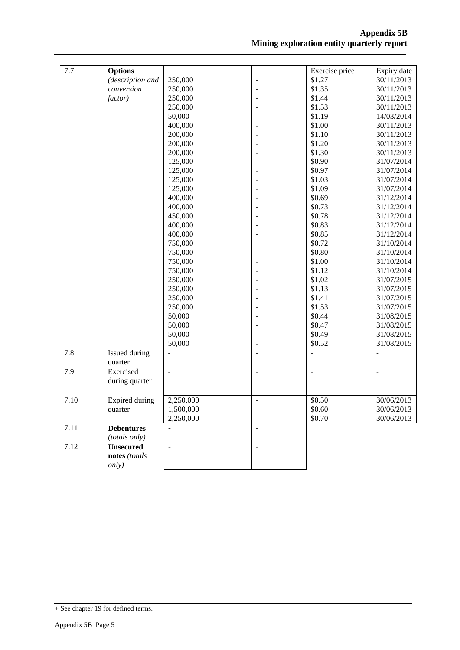| 7.7  | <b>Options</b>                     |                |                          | Exercise price           | Expiry date    |
|------|------------------------------------|----------------|--------------------------|--------------------------|----------------|
|      | (description and                   | 250,000        | $\overline{\phantom{a}}$ | \$1.27                   | 30/11/2013     |
|      | conversion                         | 250,000        | ÷,                       | \$1.35                   | 30/11/2013     |
|      | factor)                            | 250,000        |                          | \$1.44                   | 30/11/2013     |
|      |                                    | 250,000        |                          | \$1.53                   | 30/11/2013     |
|      |                                    | 50,000         |                          | \$1.19                   | 14/03/2014     |
|      |                                    | 400,000        |                          | \$1.00                   | 30/11/2013     |
|      |                                    | 200,000        |                          | \$1.10                   | 30/11/2013     |
|      |                                    | 200,000        |                          | \$1.20                   | 30/11/2013     |
|      |                                    | 200,000        |                          | \$1.30                   | 30/11/2013     |
|      |                                    | 125,000        |                          | \$0.90                   | 31/07/2014     |
|      |                                    | 125,000        |                          | \$0.97                   | 31/07/2014     |
|      |                                    | 125,000        |                          | \$1.03                   | 31/07/2014     |
|      |                                    | 125,000        |                          | \$1.09                   | 31/07/2014     |
|      |                                    | 400,000        |                          | \$0.69                   | 31/12/2014     |
|      |                                    | 400,000        |                          | \$0.73                   | 31/12/2014     |
|      |                                    | 450,000        |                          | \$0.78                   | 31/12/2014     |
|      |                                    | 400,000        |                          | \$0.83                   | 31/12/2014     |
|      |                                    | 400,000        |                          | \$0.85                   | 31/12/2014     |
|      |                                    | 750,000        |                          | \$0.72                   | 31/10/2014     |
|      |                                    | 750,000        |                          | \$0.80                   | 31/10/2014     |
|      |                                    | 750,000        |                          | \$1.00                   | 31/10/2014     |
|      |                                    | 750,000        |                          | \$1.12                   | 31/10/2014     |
|      |                                    | 250,000        |                          | \$1.02                   | 31/07/2015     |
|      |                                    | 250,000        |                          | \$1.13                   | 31/07/2015     |
|      |                                    | 250,000        |                          | \$1.41                   | 31/07/2015     |
|      |                                    | 250,000        |                          | \$1.53                   | 31/07/2015     |
|      |                                    | 50,000         |                          | \$0.44                   | 31/08/2015     |
|      |                                    | 50,000         |                          | \$0.47                   | 31/08/2015     |
|      |                                    | 50,000         |                          | \$0.49                   | 31/08/2015     |
|      |                                    | 50,000         | ٠                        | \$0.52                   | 31/08/2015     |
| 7.8  | Issued during<br>quarter           | $\overline{a}$ | $\overline{a}$           | $\overline{\phantom{a}}$ | $\overline{a}$ |
| 7.9  | Exercised                          | $\frac{1}{2}$  | $\Box$                   | $\overline{\phantom{a}}$ | $\frac{1}{2}$  |
|      | during quarter                     |                |                          |                          |                |
| 7.10 | Expired during                     | 2,250,000      | $\overline{\phantom{a}}$ | \$0.50                   | 30/06/2013     |
|      | quarter                            | 1,500,000      | ۰                        | \$0.60                   | 30/06/2013     |
|      |                                    | 2,250,000      | $\overline{\phantom{a}}$ | \$0.70                   | 30/06/2013     |
|      |                                    |                |                          |                          |                |
| 7.11 | <b>Debentures</b><br>(totals only) | $\overline{a}$ | $\overline{\phantom{a}}$ |                          |                |
| 7.12 | <b>Unsecured</b>                   | $\overline{a}$ | $\Box$                   |                          |                |
|      | notes (totals                      |                |                          |                          |                |
|      | only)                              |                |                          |                          |                |
|      |                                    |                |                          |                          |                |

<sup>+</sup> See chapter 19 for defined terms.